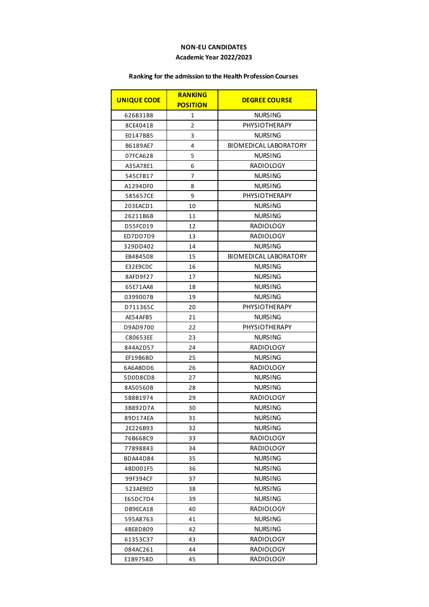## **NON-EU CANDIDATES Academic Year 2022/2023**

## **Ranking for the admission to the Health Profession Courses**

| <b>UNIQUE CODE</b> | <b>RANKING</b><br><b>POSITION</b> | <b>DEGREE COURSE</b>         |
|--------------------|-----------------------------------|------------------------------|
| 626B31B8           | 1                                 | <b>NURSING</b>               |
| 8CE40418           | 2                                 | PHYSIOTHERAPY                |
| E0147BB5           | 3                                 | <b>NURSING</b>               |
| B6189AE7           | 4                                 | BIOMEDICAL LABORATORY        |
| 07FCA628           | 5                                 | <b>NURSING</b>               |
| A35A78E1           | 6                                 | <b>RADIOLOGY</b>             |
| 545CFB17           | 7                                 | <b>NURSING</b>               |
| A1294DF0           | 8                                 | <b>NURSING</b>               |
| 585657CE           | 9                                 | PHYSIOTHERAPY                |
| 203EACD1           | 10                                | <b>NURSING</b>               |
| 26211B6B           | 11                                | <b>NURSING</b>               |
| D55FC019           | 12                                | <b>RADIOLOGY</b>             |
| ED7DD7D9           | 13                                | <b>RADIOLOGY</b>             |
| 329DD402           | 14                                | <b>NURSING</b>               |
| EB4B4508           | 15                                | <b>BIOMEDICAL LABORATORY</b> |
| E32E9C0C           | 16                                | <b>NURSING</b>               |
| 8AFD9F27           | 17                                | <b>NURSING</b>               |
| 65E71AA8           | 18                                | <b>NURSING</b>               |
| 0399007B           | 19                                | <b>NURSING</b>               |
| D711365C           | 20                                | PHYSIOTHERAPY                |
| AE54AFB5           | 21                                | <b>NURSING</b>               |
| D9AD9700           | 22                                | PHYSIOTHERAPY                |
| C80653EE           | 23                                | <b>NURSING</b>               |
| 844A2D57           | 24                                | <b>RADIOLOGY</b>             |
| EF19B6BD           | 25                                | <b>NURSING</b>               |
| 6A6ABDD6           | 26                                | <b>RADIOLOGY</b>             |
| 5D0D8CD8           | 27                                | <b>NURSING</b>               |
| 8A50560B           | 28                                | <b>NURSING</b>               |
| 5B8B1974           | 29                                | RADIOLOGY                    |
| 3B892D7A           | 30                                | <b>NURSING</b>               |
| 89D174EA           | 31                                | <b>NURSING</b>               |
| 2E226B93           | 32                                | <b>NURSING</b>               |
| 76B668C9           | 33                                | <b>RADIOLOGY</b>             |
| 77898843           | 34                                | <b>RADIOLOGY</b>             |
| BDA44D84           | 35                                | <b>NURSING</b>               |
| 4BD001F5           | 36                                | NURSING                      |
| 99F394CF           | 37                                | <b>NURSING</b>               |
| 523AE9ED           | 38                                | <b>NURSING</b>               |
| E65DC7D4           | 39                                | <b>NURSING</b>               |
| DB9ECA18           | 40                                | <b>RADIOLOGY</b>             |
| 595A8763           | 41                                | NURSING                      |
| 4BE8D809           | 42                                | NURSING                      |
| 61353C37           | 43                                | RADIOLOGY                    |
| 084AC261           | 44                                | RADIOLOGY                    |
| E1B9758D           | 45                                | RADIOLOGY                    |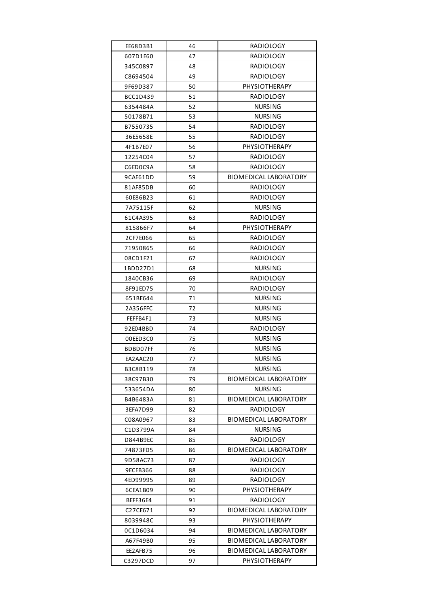| EE68D3B1 | 46 | RADIOLOGY                    |
|----------|----|------------------------------|
| 607D1E60 | 47 | <b>RADIOLOGY</b>             |
| 345C0897 | 48 | RADIOLOGY                    |
| C8694504 | 49 | <b>RADIOLOGY</b>             |
| 9F69D387 | 50 | <b>PHYSIOTHERAPY</b>         |
| BCC1D439 | 51 | RADIOLOGY                    |
| 6354484A | 52 | <b>NURSING</b>               |
| 50178B71 | 53 | <b>NURSING</b>               |
| B7550735 | 54 | <b>RADIOLOGY</b>             |
| 36E5658E | 55 | <b>RADIOLOGY</b>             |
| 4F1B7E07 | 56 | PHYSIOTHERAPY                |
| 12254C04 | 57 | RADIOLOGY                    |
| C6ED0C9A | 58 | RADIOLOGY                    |
| 9CAE61DD | 59 | <b>BIOMEDICAL LABORATORY</b> |
| 81AF85DB | 60 | <b>RADIOLOGY</b>             |
| 60E86B23 | 61 | RADIOLOGY                    |
| 7A75115F | 62 | <b>NURSING</b>               |
| 61C4A395 | 63 | <b>RADIOLOGY</b>             |
| 815866F7 | 64 | PHYSIOTHERAPY                |
| 2CF7E066 | 65 | RADIOLOGY                    |
| 71950865 | 66 | <b>RADIOLOGY</b>             |
| 08CD1F21 | 67 | RADIOLOGY                    |
| 1BDD27D1 | 68 | <b>NURSING</b>               |
| 1840CB36 | 69 | <b>RADIOLOGY</b>             |
| 8F91ED75 | 70 | RADIOLOGY                    |
| 651BE644 | 71 | <b>NURSING</b>               |
| 2A356FFC | 72 | <b>NURSING</b>               |
| FEFFB4F1 | 73 | NURSING                      |
| 92E04BBD | 74 | RADIOLOGY                    |
| 00EED3C0 | 75 | <b>NURSING</b>               |
| BDBD07FF | 76 | <b>NURSING</b>               |
| EA2AAC20 | 77 | <b>NURSING</b>               |
| B3C8B119 | 78 | <b>NURSING</b>               |
| 38C97B30 | 79 | BIOMEDICAL LABORATORY        |
| 533654DA | 80 | <b>NURSING</b>               |
| B4B6483A | 81 | <b>BIOMEDICAL LABORATORY</b> |
| 3EFA7D99 | 82 | RADIOLOGY                    |
| C08A0967 | 83 | BIOMEDICAL LABORATORY        |
| C1D3799A | 84 | <b>NURSING</b>               |
| D844B9EC | 85 | RADIOLOGY                    |
| 74873FD5 | 86 | <b>BIOMEDICAL LABORATORY</b> |
| 9D58AC73 | 87 | RADIOLOGY                    |
| 9ECEB366 | 88 | RADIOLOGY                    |
| 4ED99995 | 89 | RADIOLOGY                    |
| 6CEA1B09 | 90 | PHYSIOTHERAPY                |
| BEFF36E4 | 91 | RADIOLOGY                    |
| C27CE671 | 92 | BIOMEDICAL LABORATORY        |
| 8039948C | 93 | PHYSIOTHERAPY                |
| 0C1D6034 | 94 | BIOMEDICAL LABORATORY        |
| A67F49B0 | 95 | BIOMEDICAL LABORATORY        |
| EE2AFB75 | 96 | BIOMEDICAL LABORATORY        |
| C3297DCD | 97 | PHYSIOTHERAPY                |